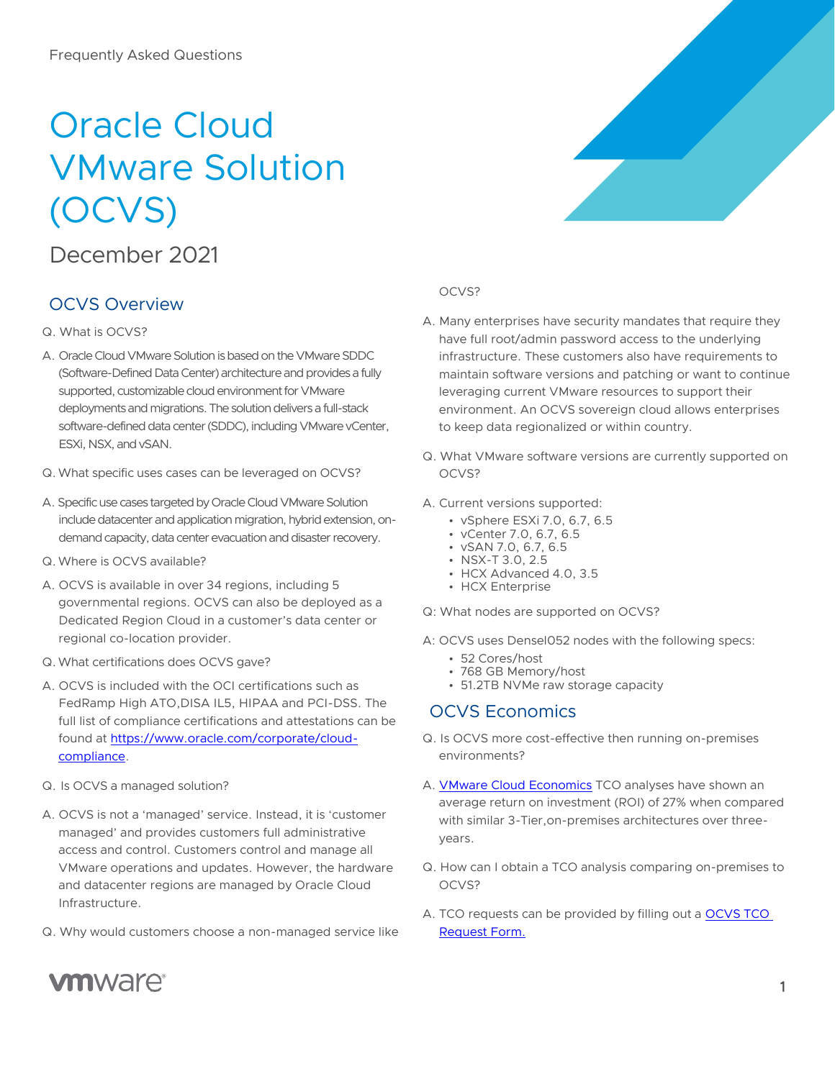# Oracle Cloud VMware Solution (OCVS)

## December 2021

### OCVS Overview

#### Q. What is OCVS?

- A. Oracle Cloud VMware Solution is based on the VMware SDDC (Software-Defined Data Center) architecture and provides a fully supported, customizable cloud environment for VMware deployments and migrations. The solution delivers a full-stack software-defined data center (SDDC), including VMware vCenter, ESXi, NSX, and vSAN.
- Q.What specific uses cases can be leveraged on OCVS?
- A. Specific use cases targeted by Oracle Cloud VMware Solution include datacenter and application migration, hybrid extension, ondemand capacity, data center evacuation and disaster recovery.
- Q.Where is OCVS available?
- A. OCVS is available in over 34 regions, including 5 governmental regions. OCVS can also be deployed as a Dedicated Region Cloud in a customer's data center or regional co-location provider.
- Q.What certifications does OCVS gave?
- A. OCVS is included with the OCI certifications such as FedRamp High ATO,DISA IL5, HIPAA and PCI-DSS. The full list of compliance certifications and attestations can be found at [https://www.oracle.com/corporate/cloud](https://www.oracle.com/corporate/cloud-compliance.)[compliance.](https://www.oracle.com/corporate/cloud-compliance.)
- Q. Is OCVS a managed solution?

**vm**ware<sup>®</sup>

- A. OCVS is not a 'managed' service. Instead, it is 'customer managed' and provides customers full administrative access and control. Customers control and manage all VMware operations and updates. However, the hardware and datacenter regions are managed by Oracle Cloud Infrastructure.
- Q. Why would customers choose a non-managed service like

#### OCVS?

- A. Many enterprises have security mandates that require they have full root/admin password access to the underlying infrastructure. These customers also have requirements to maintain software versions and patching or want to continue leveraging current VMware resources to support their environment. An OCVS sovereign cloud allows enterprises to keep data regionalized or within country.
- Q. What VMware software versions are currently supported on OCVS?
- A. Current versions supported:
	- vSphere ESXi 7.0, 6.7, 6.5
	- vCenter 7.0, 6.7, 6.5
	- vSAN 7.0, 6.7, 6.5
	- NSX-T 3.0, 2.5
	- HCX Advanced 4.0, 3.5
	- HCX Enterprise
- Q: What nodes are supported on OCVS?
- A: OCVS uses Densel052 nodes with the following specs:
	- 52 Cores/host
	- 768 GB Memory/host
	- 51.2TB NVMe raw storage capacity

### OCVS Economics

- Q. Is OCVS more cost-effective then running on-premises environments?
- A. **VMware Cloud Economics** TCO analyses have shown an average return on investment (ROI) of 27% when compared with similar 3-Tier,on-premises architectures over threeyears.
- Q. How can I obtain a TCO analysis comparing on-premises to OCVS?
- A. TCO requests can be provided by filling out a [OCVS TCO](https://forms.office.com/r/T1tJLL1qPG)  [Request Form.](https://forms.office.com/r/T1tJLL1qPG)

1